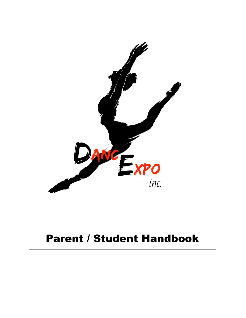

# Parent / Student Handbook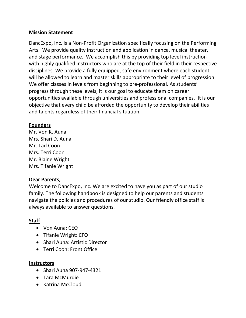## **Mission Statement**

DancExpo, Inc. is a Non-Profit Organization specifically focusing on the Performing Arts. We provide quality instruction and application in dance, musical theater, and stage performance. We accomplish this by providing top level instruction with highly qualified instructors who are at the top of their field in their respective disciplines. We provide a fully equipped, safe environment where each student will be allowed to learn and master skills appropriate to their level of progression. We offer classes in levels from beginning to pre-professional. As students' progress through these levels, it is our goal to educate them on career opportunities available through universities and professional companies. It is our objective that every child be afforded the opportunity to develop their abilities and talents regardless of their financial situation.

#### **Founders**

Mr. Von K. Auna Mrs. Shari D. Auna Mr. Tad Coon Mrs. Terri Coon Mr. Blaine Wright Mrs. Tifanie Wright

## **Dear Parents,**

Welcome to DancExpo, Inc. We are excited to have you as part of our studio family. The following handbook is designed to help our parents and students navigate the policies and procedures of our studio. Our friendly office staff is always available to answer questions.

# **Staff**

- Von Auna: CEO
- Tifanie Wright: CFO
- Shari Auna: Artistic Director
- Terri Coon: Front Office

## **Instructors**

- Shari Auna 907-947-4321
- Tara McMurdie
- Katrina McCloud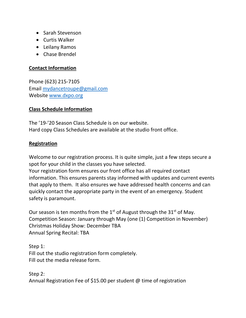- Sarah Stevenson
- Curtis Walker
- Leilany Ramos
- Chase Brendel

#### **Contact Information**

Phone (623) 215-7105 Email [mydancetroupe@gmail.com](mailto:mydancetroupe@gmail.com) Website [www.dxpo.org](http://www.dxpo.org/)

## **Class Schedule Information**

The '19-'20 Season Class Schedule is on our website. Hard copy Class Schedules are available at the studio front office.

#### **Registration**

Welcome to our registration process. It is quite simple, just a few steps secure a spot for your child in the classes you have selected.

Your registration form ensures our front office has all required contact information. This ensures parents stay informed with updates and current events that apply to them. It also ensures we have addressed health concerns and can quickly contact the appropriate party in the event of an emergency. Student safety is paramount.

Our season is ten months from the  $1<sup>st</sup>$  of August through the  $31<sup>st</sup>$  of May. Competition Season: January through May (one (1) Competition in November) Christmas Holiday Show: December TBA Annual Spring Recital: TBA

Step 1: Fill out the studio registration form completely. Fill out the media release form.

Step 2: Annual Registration Fee of \$15.00 per student @ time of registration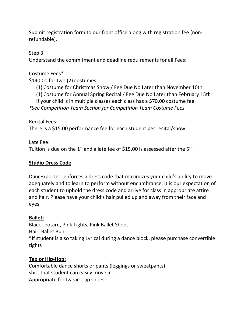Submit registration form to our front office along with registration fee (nonrefundable).

# Step 3:

Understand the commitment and deadline requirements for all Fees:

# Costume Fees\*:

\$140.00 for two (2) costumes:

(1) Costume for Christmas Show / Fee Due No Later than November 10th

(1) Costume for Annual Spring Recital / Fee Due No Later than February 15th

If your child is in multiple classes each class has a \$70.00 costume fee.

*\*See Competition Team Section for Competition Team Costume Fees*

Recital Fees:

There is a \$15.00 performance fee for each student per recital/show

Late Fee:

Tuition is due on the 1<sup>st</sup> and a late fee of \$15.00 is assessed after the 5<sup>th</sup>.

# **Studio Dress Code**

DancExpo, Inc. enforces a dress code that maximizes your child's ability to move adequately and to learn to perform without encumbrance. It is our expectation of each student to uphold the dress code and arrive for class in appropriate attire and hair. Please have your child's hair pulled up and away from their face and eyes.

# **Ballet:**

Black Leotard, Pink Tights, Pink Ballet Shoes Hair: Ballet Bun \*If student is also taking Lyrical during a dance block, please purchase convertible tights

# **Tap or Hip-Hop:**

Comfortable dance shorts or pants (leggings or sweatpants) shirt that student can easily move in. Appropriate footwear: Tap shoes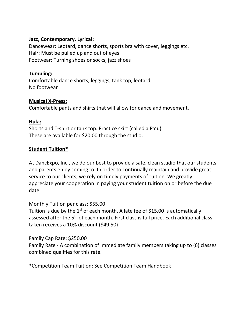## **Jazz, Contemporary, Lyrical:**

Dancewear: Leotard, dance shorts, sports bra with cover, leggings etc. Hair: Must be pulled up and out of eyes Footwear: Turning shoes or socks, jazz shoes

# **Tumbling:**

Comfortable dance shorts, leggings, tank top, leotard No footwear

# **Musical X-Press:**

Comfortable pants and shirts that will allow for dance and movement.

## **Hula:**

Shorts and T-shirt or tank top. Practice skirt (called a Pa'u) These are available for \$20.00 through the studio.

# **Student Tuition\***

At DancExpo, Inc., we do our best to provide a safe, clean studio that our students and parents enjoy coming to. In order to continually maintain and provide great service to our clients, we rely on timely payments of tuition. We greatly appreciate your cooperation in paying your student tuition on or before the due date.

Monthly Tuition per class: \$55.00

Tuition is due by the  $1<sup>st</sup>$  of each month. A late fee of \$15.00 is automatically assessed after the 5<sup>th</sup> of each month. First class is full price. Each additional class taken receives a 10% discount (\$49.50)

Family Cap Rate: \$250.00

Family Rate - A combination of immediate family members taking up to (6) classes combined qualifies for this rate.

\*Competition Team Tuition: See Competition Team Handbook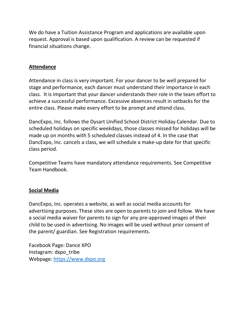We do have a Tuition Assistance Program and applications are available upon request. Approval is based upon qualification. A review can be requested if financial situations change.

## **Attendance**

Attendance in class is very important. For your dancer to be well prepared for stage and performance, each dancer must understand their importance in each class. It is important that your dancer understands their role in the team effort to achieve a successful performance. Excessive absences result in setbacks for the entire class. Please make every effort to be prompt and attend class.

DancExpo, Inc. follows the Dysart Unified School District Holiday Calendar. Due to scheduled holidays on specific weekdays, those classes missed for holidays will be made up on months with 5 scheduled classes instead of 4. In the case that DancExpo, Inc. cancels a class, we will schedule a make-up date for that specific class period.

Competitive Teams have mandatory attendance requirements. See Competitive Team Handbook.

## **Social Media**

DancExpo, Inc. operates a website, as well as social media accounts for advertising purposes. These sites are open to parents to join and follow. We have a social media waiver for parents to sign for any pre-approved images of their child to be used in advertising. No images will be used without prior consent of the parent/ guardian. See Registration requirements.

Facebook Page: Dance XPO Instagram: dxpo\_tribe Webpage: [https://www.dxpo.org](https://www.dxpo.org/)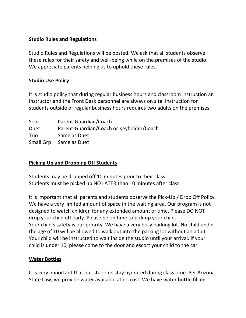## **Studio Rules and Regulations**

Studio Rules and Regulations will be posted. We ask that all students observe these rules for their safety and well-being while on the premises of the studio. We appreciate parents helping us to uphold these rules.

## **Studio Use Policy**

It is studio policy that during regular business hours and classroom instruction an Instructor and the Front Desk personnel are always on site. Instruction for students outside of regular business hours requires two adults on the premises:

| Solo      | Parent-Guardian/Coach                    |
|-----------|------------------------------------------|
| Duet      | Parent-Guardian/Coach or Keyholder/Coach |
| Trio      | Same as Duet                             |
| Small Grp | Same as Duet                             |

## **Picking Up and Dropping Off Students**

Students may be dropped off 10 minutes prior to their class. Students must be picked up NO LATER than 10 minutes after class.

It is important that all parents and students observe the Pick-Up / Drop Off Policy. We have a very limited amount of space in the waiting area. Our program is not designed to watch children for any extended amount of time. Please DO NOT drop your child off early. Please be on time to pick up your child. Your child's safety is our priority. We have a very busy parking lot. No child under the age of 10 will be allowed to walk out into the parking lot without an adult. Your child will be instructed to wait inside the studio until your arrival. If your child is under 10, please come to the door and escort your child to the car.

## **Water Bottles**

It is very important that our students stay hydrated during class time. Per Arizona State Law, we provide water available at no cost. We have water bottle filling